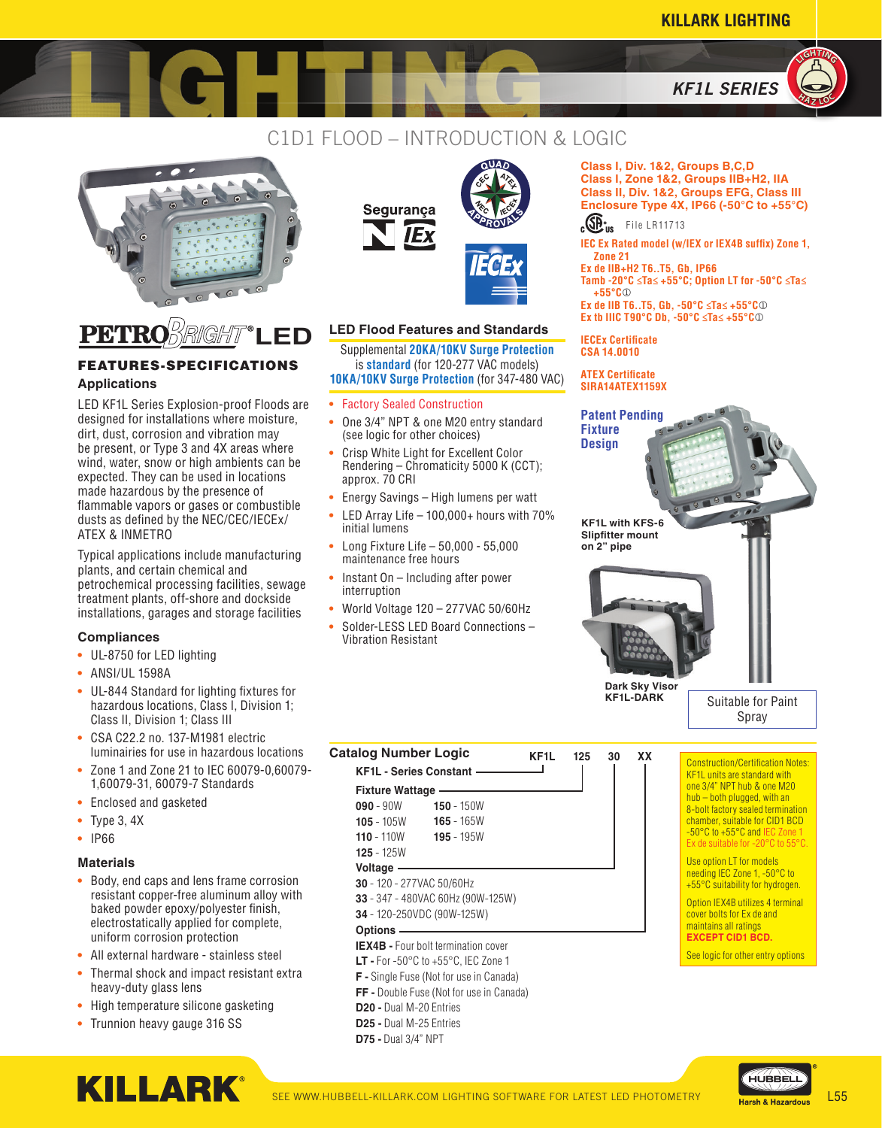**Class I, Div. 1&2, Groups B,C,D Class I, Zone 1&2, Groups IIB+H2, IIA Class II, Div. 1&2, Groups EFG, Class III Enclosure Type 4X, IP66 (-50°C to +55°C)**

 $c\overline{\mathbb{CP}}_{\text{US}}^*$  File LR11713

**IEC Ex Rated model (w/IEX or IEX4B suffix) Zone 1,** 



### C1D1 FLOOD – INTRODUCTION & LOGIC





# FEATURES-SPECIFICATIONS

LED KF1L Series Explosion-proof Floods are designed for installations where moisture, dirt, dust, corrosion and vibration may be present, or Type 3 and 4X areas where wind, water, snow or high ambients can be expected. They can be used in locations made hazardous by the presence of flammable vapors or gases or combustible dusts as defined by the NEC/CEC/IECEx/ ATEX & INMETRO

Typical applications include manufacturing plants, and certain chemical and petrochemical processing facilities, sewage treatment plants, off-shore and dockside installations, garages and storage facilities

#### **Compliances**

- **•** UL-8750 for LED lighting
- **•** ANSI/UL 1598A
- **•** UL-844 Standard for lighting fixtures for hazardous locations, Class I, Division 1; Class II, Division 1; Class III
- **•** CSA C22.2 no. 137-M1981 electric luminairies for use in hazardous locations
- **•** Zone 1 and Zone 21 to IEC 60079-0,60079- 1,60079-31, 60079-7 Standards
- **•** Enclosed and gasketed
- **•** Type 3, 4X
- **•** IP66

#### **Materials**

- **•** Body, end caps and lens frame corrosion resistant copper-free aluminum alloy with baked powder epoxy/polyester finish, electrostatically applied for complete, uniform corrosion protection
- **•** All external hardware stainless steel
- **•** Thermal shock and impact resistant extra heavy-duty glass lens
- **•** High temperature silicone gasketing
- **•** Trunnion heavy gauge 316 SS

**KILLARK®** 





#### **LED Flood Features and Standards**

Supplemental **20KA/10KV Surge Protection** is **standard** (for 120-277 VAC models) **10KA/10KV Surge Protection** (for 347-480 VAC) **Applications SIRA14ATEX1159X**

- **•** Factory Sealed Construction
- **•** One 3/4" NPT & one M20 entry standard (see logic for other choices)
- **•** Crisp White Light for Excellent Color Rendering – Chromaticity 5000 K (CCT); approx. 70 CRI
- **•** Energy Savings High lumens per watt
- **•** LED Array Life 100,000+ hours with 70% initial lumens
- **•** Long Fixture Life 50,000 55,000 maintenance free hours
- **•** Instant On Including after power interruption

**KF1L - Series Constant Fixture Wattage 090** - 90W **105** - 105W **110** - 110W **125** - 125W **Voltage**

**30** - 120 - 277VAC 50/60Hz **33** - 347 - 480VAC 60Hz (90W-125W) **34** - 120-250VDC (90W-125W)

**D20 -** Dual M-20 Entries **D25 -** Dual M-25 Entries **D75 -** Dual 3/4" NPT

**IEX4B -** Four bolt termination cover **LT -** For -50°C to +55°C, IEC Zone 1 **F -** Single Fuse (Not for use in Canada) **FF -** Double Fuse (Not for use in Canada)

**Options**

- **•** World Voltage 120 277VAC 50/60Hz
- **•** Solder-LESS LED Board Connections Vibration Resistant

**Catalog Number Logic KF1L <sup>125</sup> <sup>30</sup> XX**

 $\overline{\phantom{a}}$ 

**150** - 150W **165** - 165W **195** - 195W





**Dark Sky Visor KF1L-DARK**

Suitable for Paint Spray

Construction/Certification Notes: KF1L units are standard with one 3/4" NPT hub & one M20 hub – both plugged, with an 8-bolt factory sealed termination chamber, suitable for CID1 BCD -50°C to +55°C and IEC Zone Ex de suitable for -20°C to 55°C.

Use option LT for models needing IEC Zone 1, -50°C to +55°C suitability for hydrogen.

Option IEX4B utilizes 4 terminal cover bolts for Ex de and maintains all ratings **EXCEPT CID1 BCD.**

See logic for other entry options

HUBBEL

SEE WWW.HUBBELL-KILLARK.COM LIGHTING SOFTWARE FOR LATEST LED PHOTOMETRY Later of the Hazardous L55